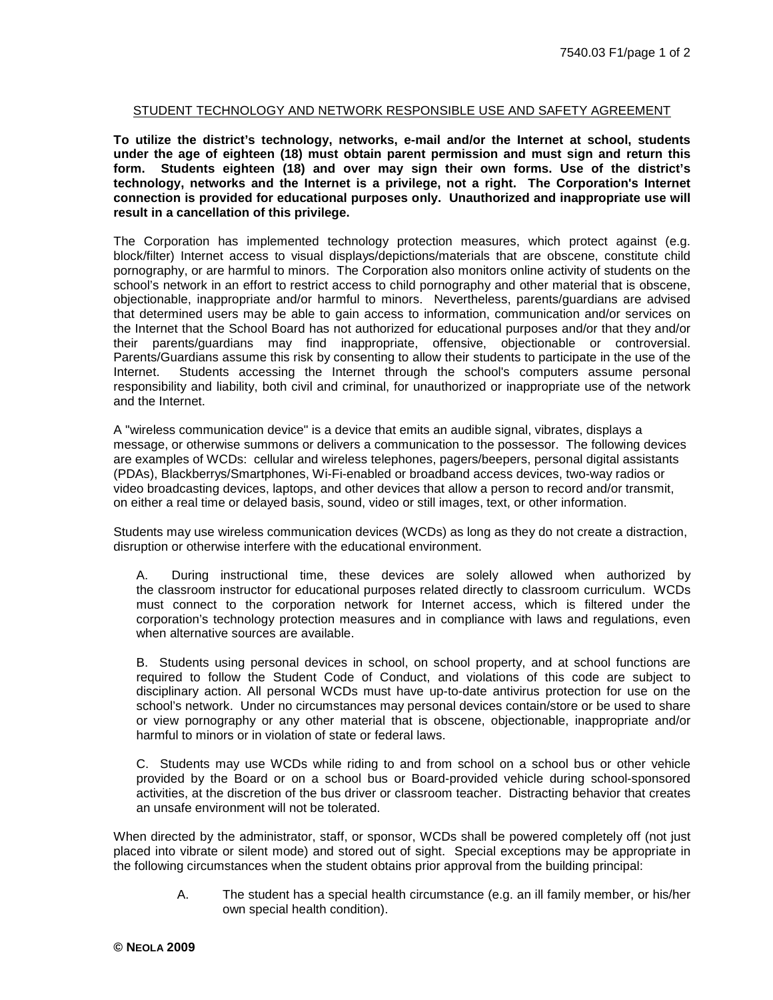## STUDENT TECHNOLOGY AND NETWORK RESPONSIBLE USE AND SAFETY AGREEMENT

**To utilize the district's technology, networks, e-mail and/or the Internet at school, students under the age of eighteen (18) must obtain parent permission and must sign and return this form. Students eighteen (18) and over may sign their own forms. Use of the district's technology, networks and the Internet is a privilege, not a right. The Corporation's Internet connection is provided for educational purposes only. Unauthorized and inappropriate use will result in a cancellation of this privilege.** 

The Corporation has implemented technology protection measures, which protect against (e.g. block/filter) Internet access to visual displays/depictions/materials that are obscene, constitute child pornography, or are harmful to minors. The Corporation also monitors online activity of students on the school's network in an effort to restrict access to child pornography and other material that is obscene, objectionable, inappropriate and/or harmful to minors. Nevertheless, parents/guardians are advised that determined users may be able to gain access to information, communication and/or services on the Internet that the School Board has not authorized for educational purposes and/or that they and/or their parents/guardians may find inappropriate, offensive, objectionable or controversial. Parents/Guardians assume this risk by consenting to allow their students to participate in the use of the Internet. Students accessing the Internet through the school's computers assume personal responsibility and liability, both civil and criminal, for unauthorized or inappropriate use of the network and the Internet.

A "wireless communication device" is a device that emits an audible signal, vibrates, displays a message, or otherwise summons or delivers a communication to the possessor. The following devices are examples of WCDs: cellular and wireless telephones, pagers/beepers, personal digital assistants (PDAs), Blackberrys/Smartphones, Wi-Fi-enabled or broadband access devices, two-way radios or video broadcasting devices, laptops, and other devices that allow a person to record and/or transmit, on either a real time or delayed basis, sound, video or still images, text, or other information.

Students may use wireless communication devices (WCDs) as long as they do not create a distraction, disruption or otherwise interfere with the educational environment.

A. During instructional time, these devices are solely allowed when authorized by the classroom instructor for educational purposes related directly to classroom curriculum. WCDs must connect to the corporation network for Internet access, which is filtered under the corporation's technology protection measures and in compliance with laws and regulations, even when alternative sources are available.

B. Students using personal devices in school, on school property, and at school functions are required to follow the Student Code of Conduct, and violations of this code are subject to disciplinary action. All personal WCDs must have up-to-date antivirus protection for use on the school's network. Under no circumstances may personal devices contain/store or be used to share or view pornography or any other material that is obscene, objectionable, inappropriate and/or harmful to minors or in violation of state or federal laws.

C. Students may use WCDs while riding to and from school on a school bus or other vehicle provided by the Board or on a school bus or Board-provided vehicle during school-sponsored activities, at the discretion of the bus driver or classroom teacher. Distracting behavior that creates an unsafe environment will not be tolerated.

When directed by the administrator, staff, or sponsor, WCDs shall be powered completely off (not just placed into vibrate or silent mode) and stored out of sight. Special exceptions may be appropriate in the following circumstances when the student obtains prior approval from the building principal:

> A. The student has a special health circumstance (e.g. an ill family member, or his/her own special health condition).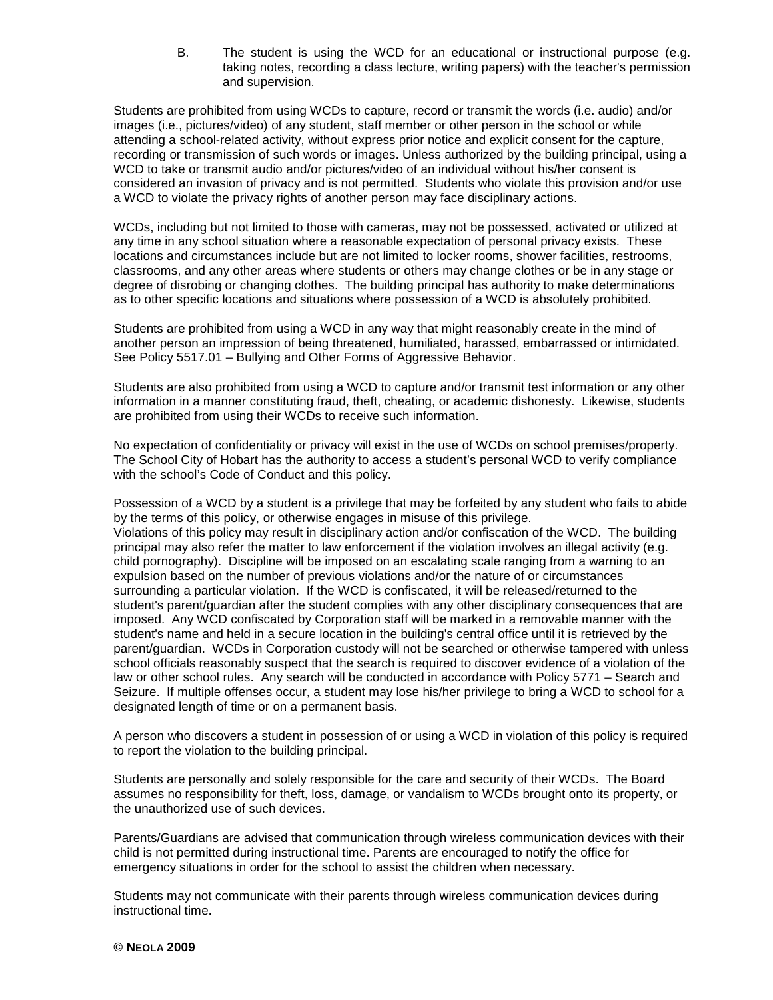B. The student is using the WCD for an educational or instructional purpose (e.g. taking notes, recording a class lecture, writing papers) with the teacher's permission and supervision.

Students are prohibited from using WCDs to capture, record or transmit the words (i.e. audio) and/or images (i.e., pictures/video) of any student, staff member or other person in the school or while attending a school-related activity, without express prior notice and explicit consent for the capture, recording or transmission of such words or images. Unless authorized by the building principal, using a WCD to take or transmit audio and/or pictures/video of an individual without his/her consent is considered an invasion of privacy and is not permitted. Students who violate this provision and/or use a WCD to violate the privacy rights of another person may face disciplinary actions.

WCDs, including but not limited to those with cameras, may not be possessed, activated or utilized at any time in any school situation where a reasonable expectation of personal privacy exists. These locations and circumstances include but are not limited to locker rooms, shower facilities, restrooms, classrooms, and any other areas where students or others may change clothes or be in any stage or degree of disrobing or changing clothes. The building principal has authority to make determinations as to other specific locations and situations where possession of a WCD is absolutely prohibited.

Students are prohibited from using a WCD in any way that might reasonably create in the mind of another person an impression of being threatened, humiliated, harassed, embarrassed or intimidated. See Policy 5517.01 – Bullying and Other Forms of Aggressive Behavior.

Students are also prohibited from using a WCD to capture and/or transmit test information or any other information in a manner constituting fraud, theft, cheating, or academic dishonesty. Likewise, students are prohibited from using their WCDs to receive such information.

No expectation of confidentiality or privacy will exist in the use of WCDs on school premises/property. The School City of Hobart has the authority to access a student's personal WCD to verify compliance with the school's Code of Conduct and this policy.

Possession of a WCD by a student is a privilege that may be forfeited by any student who fails to abide by the terms of this policy, or otherwise engages in misuse of this privilege. Violations of this policy may result in disciplinary action and/or confiscation of the WCD. The building principal may also refer the matter to law enforcement if the violation involves an illegal activity (e.g. child pornography). Discipline will be imposed on an escalating scale ranging from a warning to an expulsion based on the number of previous violations and/or the nature of or circumstances surrounding a particular violation. If the WCD is confiscated, it will be released/returned to the student's parent/guardian after the student complies with any other disciplinary consequences that are imposed. Any WCD confiscated by Corporation staff will be marked in a removable manner with the student's name and held in a secure location in the building's central office until it is retrieved by the parent/guardian. WCDs in Corporation custody will not be searched or otherwise tampered with unless school officials reasonably suspect that the search is required to discover evidence of a violation of the law or other school rules. Any search will be conducted in accordance with Policy 5771 – Search and Seizure. If multiple offenses occur, a student may lose his/her privilege to bring a WCD to school for a designated length of time or on a permanent basis.

A person who discovers a student in possession of or using a WCD in violation of this policy is required to report the violation to the building principal.

Students are personally and solely responsible for the care and security of their WCDs. The Board assumes no responsibility for theft, loss, damage, or vandalism to WCDs brought onto its property, or the unauthorized use of such devices.

Parents/Guardians are advised that communication through wireless communication devices with their child is not permitted during instructional time. Parents are encouraged to notify the office for emergency situations in order for the school to assist the children when necessary.

Students may not communicate with their parents through wireless communication devices during instructional time.